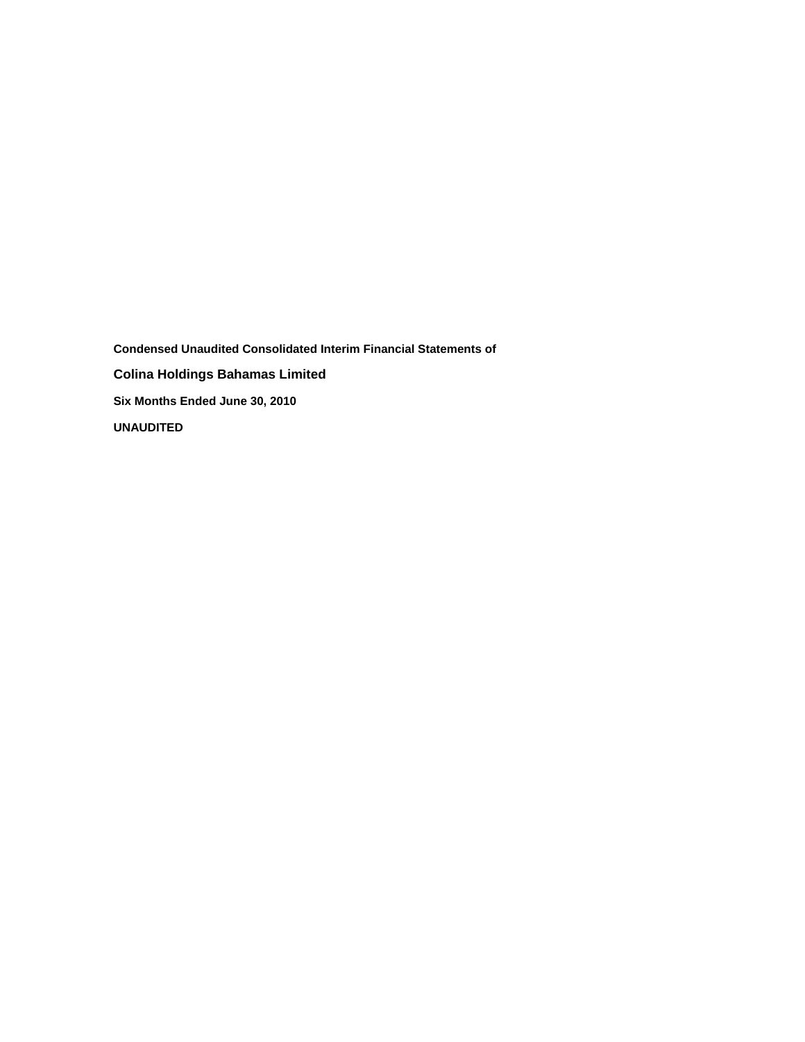**Condensed Unaudited Consolidated Interim Financial Statements of Colina Holdings Bahamas Limited Six Months Ended June 30, 2010 UNAUDITED**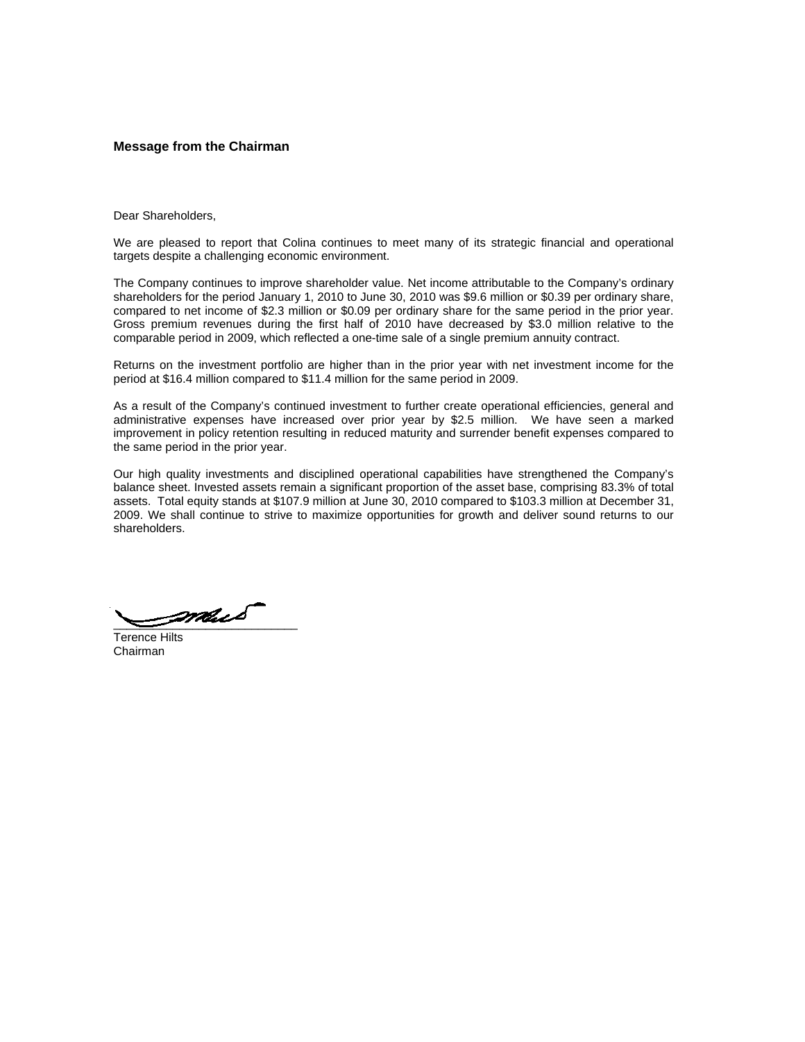### **Message from the Chairman**

Dear Shareholders,

We are pleased to report that Colina continues to meet many of its strategic financial and operational targets despite a challenging economic environment.

The Company continues to improve shareholder value. Net income attributable to the Company's ordinary shareholders for the period January 1, 2010 to June 30, 2010 was \$9.6 million or \$0.39 per ordinary share, compared to net income of \$2.3 million or \$0.09 per ordinary share for the same period in the prior year. Gross premium revenues during the first half of 2010 have decreased by \$3.0 million relative to the comparable period in 2009, which reflected a one-time sale of a single premium annuity contract.

Returns on the investment portfolio are higher than in the prior year with net investment income for the period at \$16.4 million compared to \$11.4 million for the same period in 2009.

As a result of the Company's continued investment to further create operational efficiencies, general and administrative expenses have increased over prior year by \$2.5 million. We have seen a marked improvement in policy retention resulting in reduced maturity and surrender benefit expenses compared to the same period in the prior year.

Our high quality investments and disciplined operational capabilities have strengthened the Company's balance sheet. Invested assets remain a significant proportion of the asset base, comprising 83.3% of total assets. Total equity stands at \$107.9 million at June 30, 2010 compared to \$103.3 million at December 31, 2009. We shall continue to strive to maximize opportunities for growth and deliver sound returns to our shareholders.

 $\rule{1em}{0.5em}\vspace{1em}$ 

Terence Hilts Chairman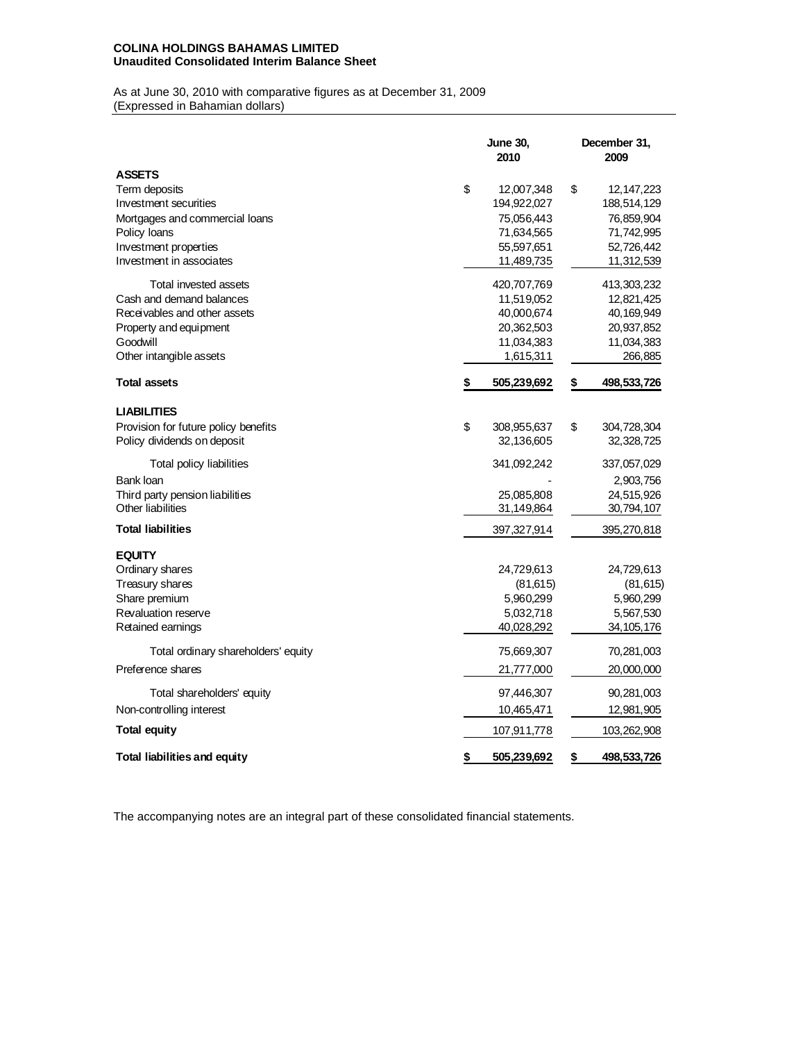# **COLINA HOLDINGS BAHAMAS LIMITED Unaudited Consolidated Interim Balance Sheet**

As at June 30, 2010 with comparative figures as at December 31, 2009 (Expressed in Bahamian dollars)

|                                                                                                                                                                | <b>June 30,</b><br>2010                                                                 | December 31,<br>2009                                                                      |
|----------------------------------------------------------------------------------------------------------------------------------------------------------------|-----------------------------------------------------------------------------------------|-------------------------------------------------------------------------------------------|
| <b>ASSETS</b><br>Term deposits<br>Investment securities<br>Mortgages and commercial loans<br>Policy loans<br>Investment properties<br>Investment in associates | \$<br>12,007,348<br>194,922,027<br>75,056,443<br>71,634,565<br>55,597,651<br>11,489,735 | \$<br>12, 147, 223<br>188,514,129<br>76,859,904<br>71,742,995<br>52,726,442<br>11,312,539 |
| Total invested assets<br>Cash and demand balances<br>Receivables and other assets<br>Property and equipment<br>Goodwill<br>Other intangible assets             | 420,707,769<br>11,519,052<br>40,000,674<br>20,362,503<br>11,034,383<br>1,615,311        | 413,303,232<br>12,821,425<br>40, 169, 949<br>20,937,852<br>11,034,383<br>266,885          |
| <b>Total assets</b>                                                                                                                                            | 505,239,692                                                                             | \$<br>498,533,726                                                                         |
| <b>LIABILITIES</b><br>Provision for future policy benefits<br>Policy dividends on deposit<br>Total policy liabilities<br>Bank Ioan                             | \$<br>308,955,637<br>32,136,605<br>341,092,242                                          | \$<br>304,728,304<br>32,328,725<br>337,057,029<br>2,903,756                               |
| Third party pension liabilities<br>Other liabilities                                                                                                           | 25,085,808<br>31,149,864                                                                | 24,515,926<br>30,794,107                                                                  |
| <b>Total liabilities</b>                                                                                                                                       | 397,327,914                                                                             | 395,270,818                                                                               |
| <b>EQUITY</b><br>Ordinary shares<br>Treasury shares<br>Share premium<br>Revaluation reserve<br>Retained earnings                                               | 24,729,613<br>(81,615)<br>5,960,299<br>5,032,718<br>40,028,292                          | 24,729,613<br>(81, 615)<br>5,960,299<br>5,567,530<br>34, 105, 176                         |
| Total ordinary shareholders' equity<br>Preference shares                                                                                                       | 75,669,307<br>21,777,000                                                                | 70,281,003<br>20,000,000                                                                  |
| Total shareholders' equity<br>Non-controlling interest<br>Total equity                                                                                         | 97,446,307<br>10,465,471                                                                | 90,281,003<br>12,981,905                                                                  |
| <b>Total liabilities and equity</b>                                                                                                                            | \$<br>107,911,778<br>505,239,692                                                        | \$<br>103,262,908<br>498,533,726                                                          |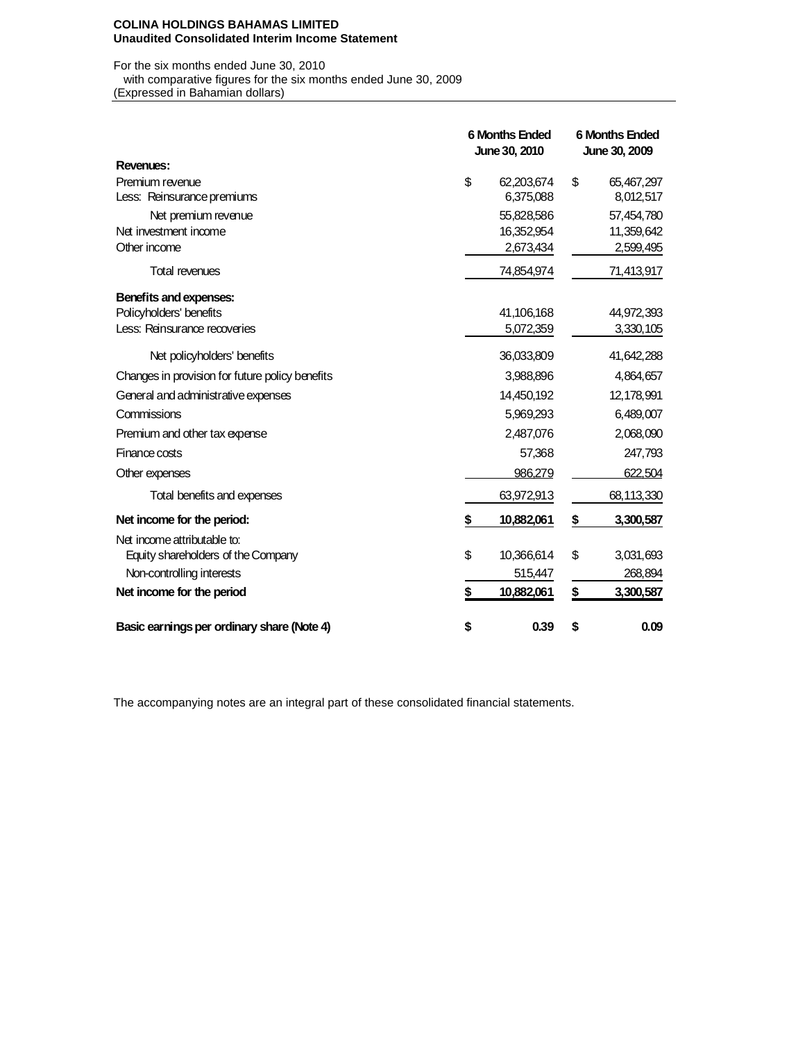#### **COLINA HOLDINGS BAHAMAS LIMITED Unaudited Consolidated Interim Income Statement**

For the six months ended June 30, 2010 with comparative figures for the six months ended June 30, 2009<br>(Expressed in Bahamian dollars)

| (Expressed in Bahamian dollars) |  |  |
|---------------------------------|--|--|
|                                 |  |  |

|                                                 | <b>6 Months Ended</b><br>June 30, 2010 |            | <b>6 Months Ended</b><br>June 30, 2009 |              |  |
|-------------------------------------------------|----------------------------------------|------------|----------------------------------------|--------------|--|
| Revenues:                                       |                                        |            |                                        |              |  |
| Premium revenue                                 | \$                                     | 62,203,674 | \$                                     | 65,467,297   |  |
| Less: Reinsurance premiums                      |                                        | 6,375,088  |                                        | 8,012,517    |  |
| Net premium revenue                             |                                        | 55,828,586 |                                        | 57,454,780   |  |
| Net investment income                           |                                        | 16,352,954 |                                        | 11,359,642   |  |
| Other income                                    |                                        | 2,673,434  |                                        | 2,599,495    |  |
| <b>Total revenues</b>                           |                                        | 74,854,974 |                                        | 71,413,917   |  |
| Benefits and expenses:                          |                                        |            |                                        |              |  |
| Policyholders' benefits                         |                                        | 41,106,168 |                                        | 44,972,393   |  |
| Less: Reinsurance recoveries                    |                                        | 5,072,359  |                                        | 3,330,105    |  |
| Net policyholders' benefits                     |                                        | 36,033,809 |                                        | 41,642,288   |  |
| Changes in provision for future policy benefits |                                        | 3,988,896  |                                        | 4,864,657    |  |
| General and administrative expenses             |                                        | 14,450,192 |                                        | 12, 178, 991 |  |
| Commissions                                     |                                        | 5,969,293  |                                        | 6,489,007    |  |
| Premium and other tax expense                   |                                        | 2,487,076  |                                        | 2,068,090    |  |
| Finance costs                                   |                                        | 57,368     |                                        | 247,793      |  |
| Other expenses                                  |                                        | 986.279    |                                        | 622.504      |  |
| Total benefits and expenses                     |                                        | 63,972,913 |                                        | 68,113,330   |  |
| Net income for the period:                      | \$                                     | 10,882,061 | \$                                     | 3,300,587    |  |
| Net income attributable to:                     |                                        |            |                                        |              |  |
| Equity shareholders of the Company              | \$                                     | 10,366,614 | \$                                     | 3,031,693    |  |
| Non-controlling interests                       |                                        | 515,447    |                                        | 268,894      |  |
| Net income for the period                       | \$                                     | 10,882,061 | \$                                     | 3,300,587    |  |
| Basic earnings per ordinary share (Note 4)      | \$                                     | 0.39       | \$                                     | 0.09         |  |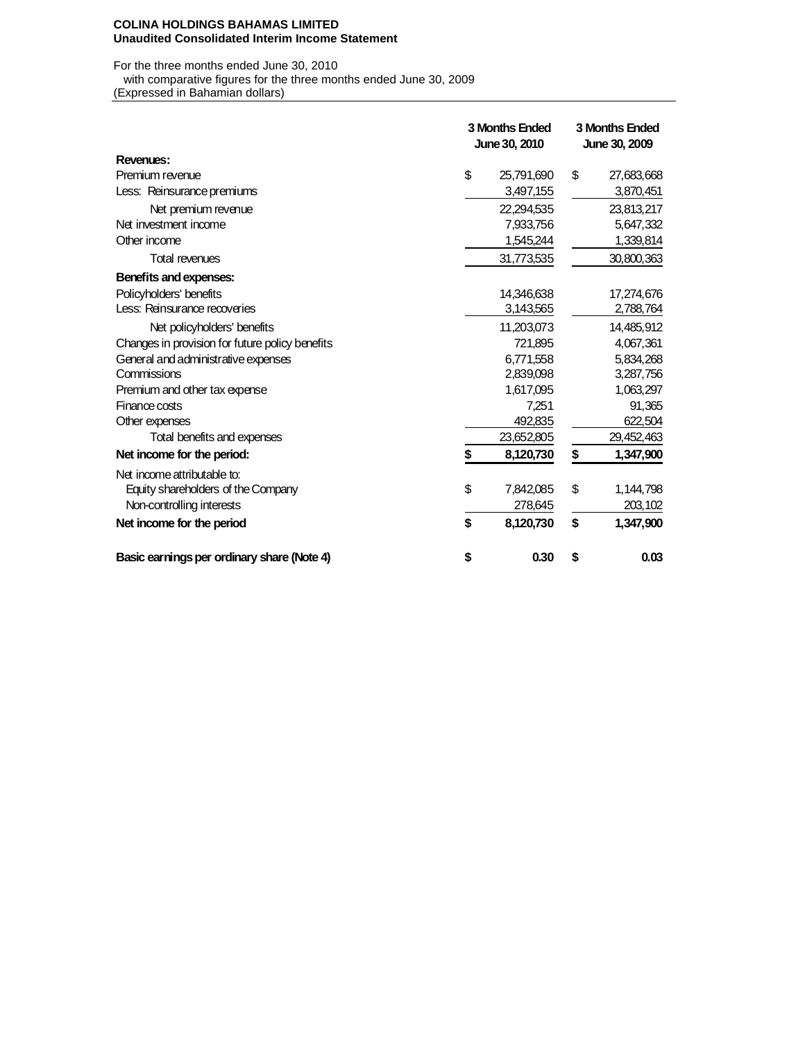#### **COLINA HOLDINGS BAHAMAS LIMITED Unaudited Consolidated Interim Income Statement**

For the three months ended June 30, 2010 with comparative figures for the three months ended June 30, 2009

(Expressed in Bahamian dollars)

|                                                 | <b>3 Months Ended</b><br>June 30, 2010 |            |    | 3 Months Ended<br>June 30, 2009 |
|-------------------------------------------------|----------------------------------------|------------|----|---------------------------------|
| Revenues:                                       |                                        |            |    |                                 |
| Premium revenue                                 | \$                                     | 25,791,690 | \$ | 27,683,668                      |
| Less: Reinsurance premiums                      |                                        | 3,497,155  |    | 3,870,451                       |
| Net premium revenue                             |                                        | 22,294,535 |    | 23,813,217                      |
| Net investment income                           |                                        | 7,933,756  |    | 5,647,332                       |
| Other income                                    |                                        | 1,545,244  |    | 1,339,814                       |
| <b>Total revenues</b>                           |                                        | 31,773,535 |    | 30,800,363                      |
| Benefits and expenses:                          |                                        |            |    |                                 |
| Policyholders' benefits                         |                                        | 14,346,638 |    | 17,274,676                      |
| Less: Reinsurance recoveries                    |                                        | 3,143,565  |    | 2,788,764                       |
| Net policyholders' benefits                     |                                        | 11,203,073 |    | 14,485,912                      |
| Changes in provision for future policy benefits |                                        | 721,895    |    | 4,067,361                       |
| General and administrative expenses             |                                        | 6,771,558  |    | 5,834,268                       |
| Commissions                                     |                                        | 2,839,098  |    | 3,287,756                       |
| Premium and other tax expense                   |                                        | 1,617,095  |    | 1,063,297                       |
| Finance costs                                   |                                        | 7,251      |    | 91,365                          |
| Other expenses                                  |                                        | 492,835    |    | 622,504                         |
| Total benefits and expenses                     |                                        | 23,652,805 |    | 29,452,463                      |
| Net income for the period:                      |                                        | 8,120,730  | S  | 1,347,900                       |
| Net income attributable to:                     |                                        |            |    |                                 |
| Equity shareholders of the Company              | \$                                     | 7,842,085  | \$ | 1,144,798                       |
| Non-controlling interests                       |                                        | 278,645    |    | 203,102                         |
| Net income for the period                       | \$                                     | 8,120,730  | \$ | 1,347,900                       |
| Basic earnings per ordinary share (Note 4)      | \$                                     | 0.30       | \$ | 0.03                            |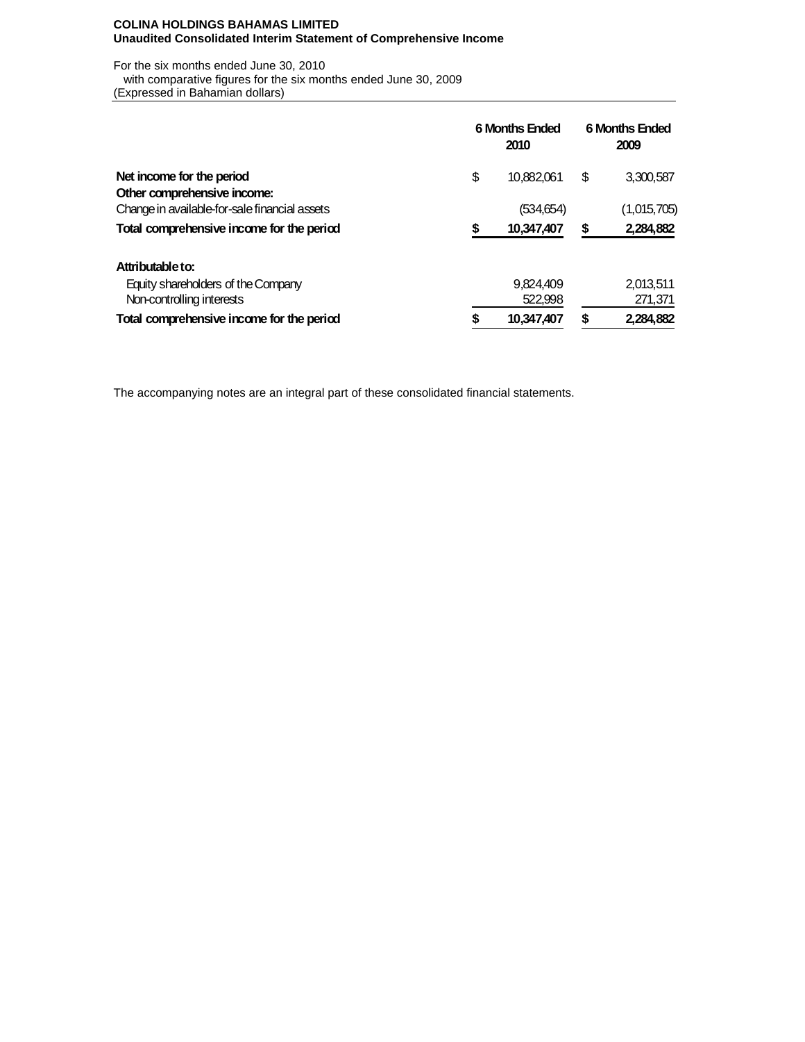## **COLINA HOLDINGS BAHAMAS LIMITED Unaudited Consolidated Interim Statement of Comprehensive Income**

For the six months ended June 30, 2010 with comparative figures for the six months ended June 30, 2009 (Expressed in Bahamian dollars)

|                                               | <b>6 Months Ended</b> | <b>6 Months Ended</b><br>2009 |    |             |
|-----------------------------------------------|-----------------------|-------------------------------|----|-------------|
| Net income for the period                     | \$                    | 10,882,061                    | \$ | 3,300,587   |
| Other comprehensive income:                   |                       |                               |    |             |
| Change in available for-sale financial assets |                       | (534,654)                     |    | (1,015,705) |
| Total comprehensive income for the period     | \$                    | 10,347,407                    | \$ | 2,284,882   |
| Attributable to:                              |                       |                               |    |             |
| Equity shareholders of the Company            |                       | 9,824,409                     |    | 2,013,511   |
| Non-controlling interests                     |                       | 522,998                       |    | 271,371     |
| Total comprehensive income for the period     | \$                    | 10,347,407                    | \$ | 2,284,882   |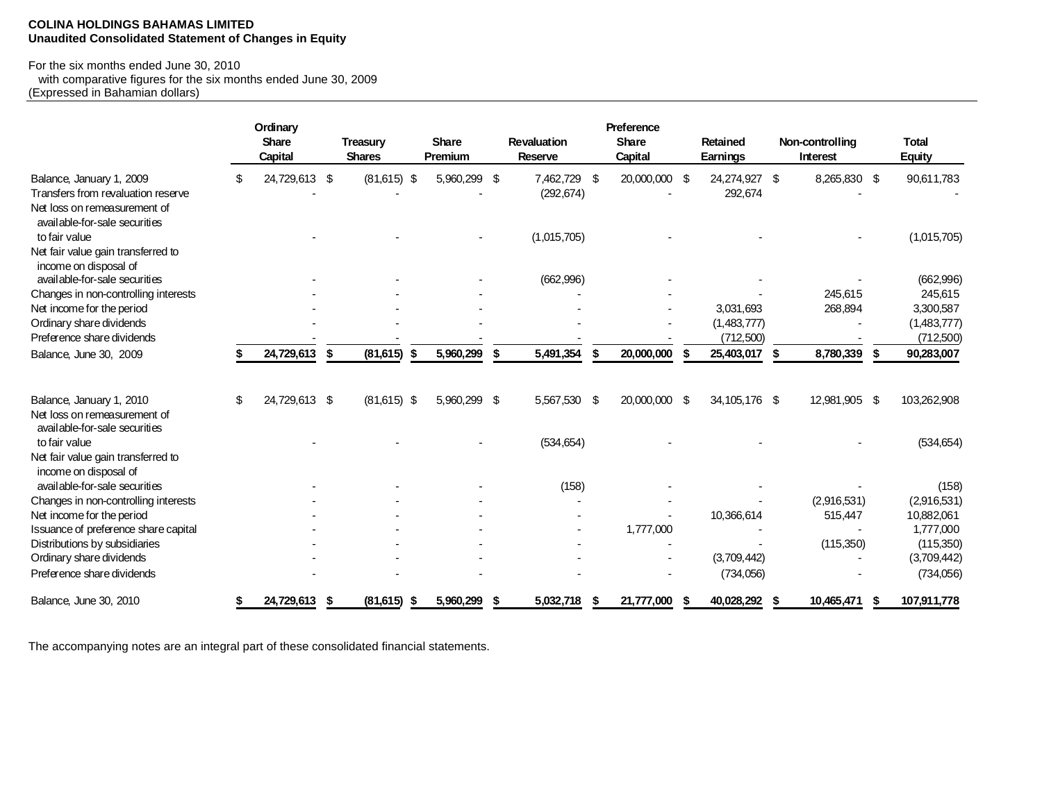#### **COLINA HOLDINGS BAHAMAS LIMITED Unaudited Consolidated Statement of Changes in Equity**

# For the six months ended June 30, 2010

 with comparative figures for the six months ended June 30, 2009 (Expressed in Bahamian dollars)

|                                                                                                               |    | Ordinary<br><b>Share</b><br><b>Capital</b> |     | <b>Treasury</b><br><b>Shares</b> |      | <b>Share</b><br>Premium |     | <b>Revaluation</b><br><b>Reserve</b> |     | Preference<br><b>Share</b><br>Capital |   | Retained<br>Earnings     |      | Non-controlling<br><b>Interest</b> |      | <b>Total</b><br><b>Equity</b> |
|---------------------------------------------------------------------------------------------------------------|----|--------------------------------------------|-----|----------------------------------|------|-------------------------|-----|--------------------------------------|-----|---------------------------------------|---|--------------------------|------|------------------------------------|------|-------------------------------|
| Balance, January 1, 2009<br>Transfers from revaluation reserve<br>Net loss on remeasurement of                | \$ | 24,729,613 \$                              |     | $(81,615)$ \$                    |      | 5,960,299 \$            |     | 7,462,729<br>(292, 674)              | -\$ | 20,000,000 \$                         |   | 24,274,927 \$<br>292,674 |      | 8,265,830 \$                       |      | 90,611,783                    |
| available-for-sale securities<br>to fair value<br>Net fair value gain transferred to<br>income on disposal of |    |                                            |     |                                  |      |                         |     | (1,015,705)                          |     |                                       |   |                          |      |                                    |      | (1,015,705)                   |
| available-for-sale securities                                                                                 |    |                                            |     |                                  |      |                         |     | (662, 996)                           |     |                                       |   |                          |      |                                    |      | (662,996)                     |
| Changes in non-controlling interests                                                                          |    |                                            |     |                                  |      |                         |     |                                      |     |                                       |   |                          |      | 245,615                            |      | 245,615                       |
| Net income for the period                                                                                     |    |                                            |     |                                  |      |                         |     |                                      |     |                                       |   | 3,031,693                |      | 268,894                            |      | 3,300,587                     |
| Ordinary share dividends                                                                                      |    |                                            |     |                                  |      |                         |     |                                      |     |                                       |   | (1,483,777)              |      |                                    |      | (1,483,777)                   |
| Preference share dividends                                                                                    |    |                                            |     |                                  |      |                         |     |                                      |     |                                       |   | (712, 500)               |      |                                    |      | (712,500)                     |
| Balance, June 30, 2009                                                                                        |    | 24,729,613                                 | -\$ | (81, 615)                        | - \$ | 5,960,299               | -\$ | 5,491,354                            | \$  | 20,000,000                            | S | 25,403,017               | - \$ | 8,780,339                          | - \$ | 90,283,007                    |
| Balance, January 1, 2010<br>Net loss on remeasurement of                                                      | S  | 24,729,613 \$                              |     | $(81,615)$ \$                    |      | 5,960,299 \$            |     | 5,567,530                            | -\$ | 20,000,000 \$                         |   | 34, 105, 176 \$          |      | 12,981,905 \$                      |      | 103,262,908                   |
| available-for-sale securities<br>to fair value                                                                |    |                                            |     |                                  |      |                         |     | (534, 654)                           |     |                                       |   |                          |      |                                    |      | (534, 654)                    |
| Net fair value gain transferred to<br>income on disposal of                                                   |    |                                            |     |                                  |      |                         |     |                                      |     |                                       |   |                          |      |                                    |      |                               |
| available-for-sale securities                                                                                 |    |                                            |     |                                  |      |                         |     | (158)                                |     |                                       |   |                          |      |                                    |      | (158)                         |
| Changes in non-controlling interests                                                                          |    |                                            |     |                                  |      |                         |     |                                      |     |                                       |   |                          |      | (2,916,531)                        |      | (2,916,531)                   |
| Net income for the period                                                                                     |    |                                            |     |                                  |      |                         |     |                                      |     |                                       |   | 10,366,614               |      | 515,447                            |      | 10,882,061                    |
| Issuance of preference share capital                                                                          |    |                                            |     |                                  |      |                         |     |                                      |     | 1,777,000                             |   |                          |      |                                    |      | 1,777,000                     |
| Distributions by subsidiaries                                                                                 |    |                                            |     |                                  |      |                         |     |                                      |     |                                       |   |                          |      | (115,350)                          |      | (115,350)                     |
| Ordinary share dividends                                                                                      |    |                                            |     |                                  |      |                         |     |                                      |     |                                       |   | (3,709,442)              |      |                                    |      | (3,709,442)                   |
| Preference share dividends                                                                                    |    |                                            |     |                                  |      |                         |     |                                      |     |                                       |   | (734,056)                |      |                                    |      | (734,056)                     |
| Balance, June 30, 2010                                                                                        |    | 24,729,613                                 |     | (81,615)                         | \$   | 5,960,299               |     | 5,032,718                            |     | 21,777,000                            |   | 40,028,292               |      | 10,465,471                         |      | 107,911,778                   |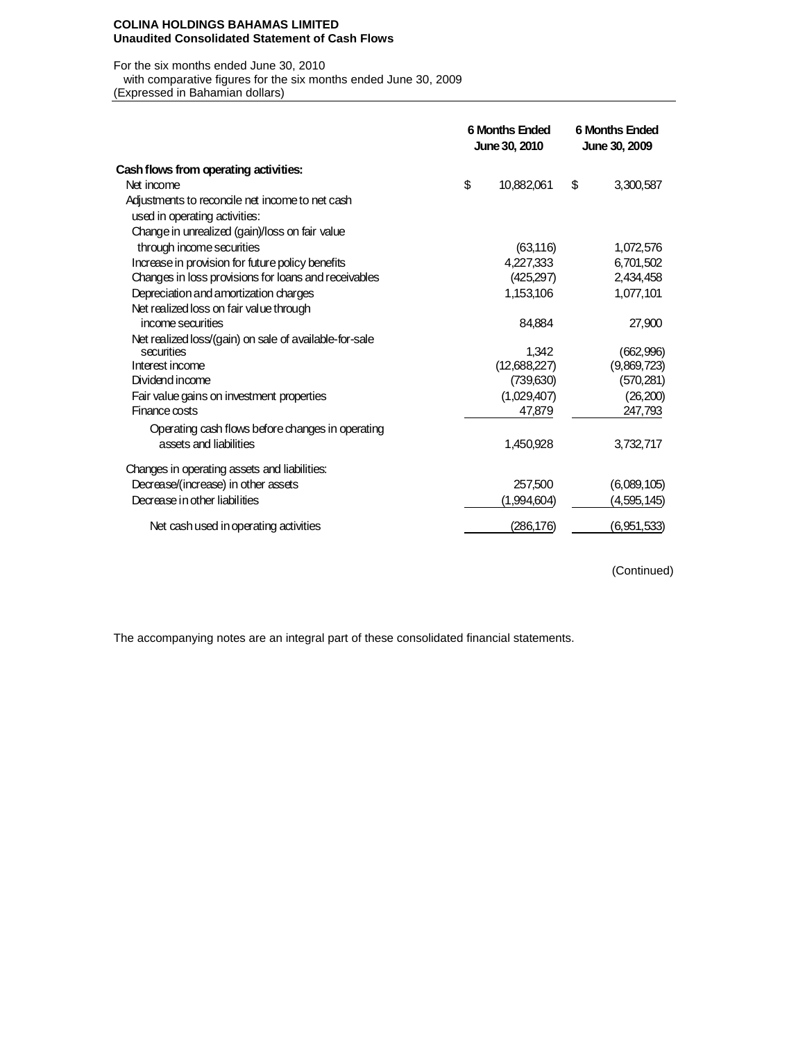#### **COLINA HOLDINGS BAHAMAS LIMITED Unaudited Consolidated Statement of Cash Flows**

#### For the six months ended June 30, 2010

with comparative figures for the six months ended June 30, 2009

(Expressed in Bahamian dollars)

|                                                        | <b>6 Months Ended</b><br>June 30, 2010 |              |    | <b>6 Months Ended</b><br>June 30, 2009 |
|--------------------------------------------------------|----------------------------------------|--------------|----|----------------------------------------|
| Cash flows from operating activities:                  |                                        |              |    |                                        |
| Net income                                             | \$                                     | 10,882,061   | \$ | 3,300,587                              |
| Adjustments to reconcile net income to net cash        |                                        |              |    |                                        |
| used in operating activities:                          |                                        |              |    |                                        |
| Change in unrealized (gain)/loss on fair value         |                                        |              |    |                                        |
| through income securities                              |                                        | (63, 116)    |    | 1,072,576                              |
| Increase in provision for future policy benefits       |                                        | 4,227,333    |    | 6,701,502                              |
| Changes in loss provisions for loans and receivables   |                                        | (425,297)    |    | 2,434,458                              |
| Depreciation and amortization charges                  |                                        | 1,153,106    |    | 1,077,101                              |
| Net realized loss on fair value through                |                                        |              |    |                                        |
| income securities                                      |                                        | 84.884       |    | 27,900                                 |
| Net realized loss/(gain) on sale of available-for-sale |                                        |              |    |                                        |
| securities                                             |                                        | 1.342        |    | (662,996)                              |
| Interest income                                        |                                        | (12,688,227) |    | (9,869,723)                            |
| Dividend income                                        |                                        | (739,630)    |    | (570, 281)                             |
| Fair value gains on investment properties              |                                        | (1,029,407)  |    | (26, 200)                              |
| Finance costs                                          |                                        | 47,879       |    | 247,793                                |
| Operating cash flows before changes in operating       |                                        |              |    |                                        |
| assets and liabilities                                 |                                        | 1,450,928    |    | 3,732,717                              |
| Changes in operating assets and liabilities:           |                                        |              |    |                                        |
| Decrease/(increase) in other assets                    |                                        | 257.500      |    | (6,089,105)                            |
| Decrease in other liabilities                          |                                        | (1,994,604)  |    | (4,595,145)                            |
| Net cash used in operating activities                  |                                        | (286, 176)   |    | (6,951,533)                            |

(Continued)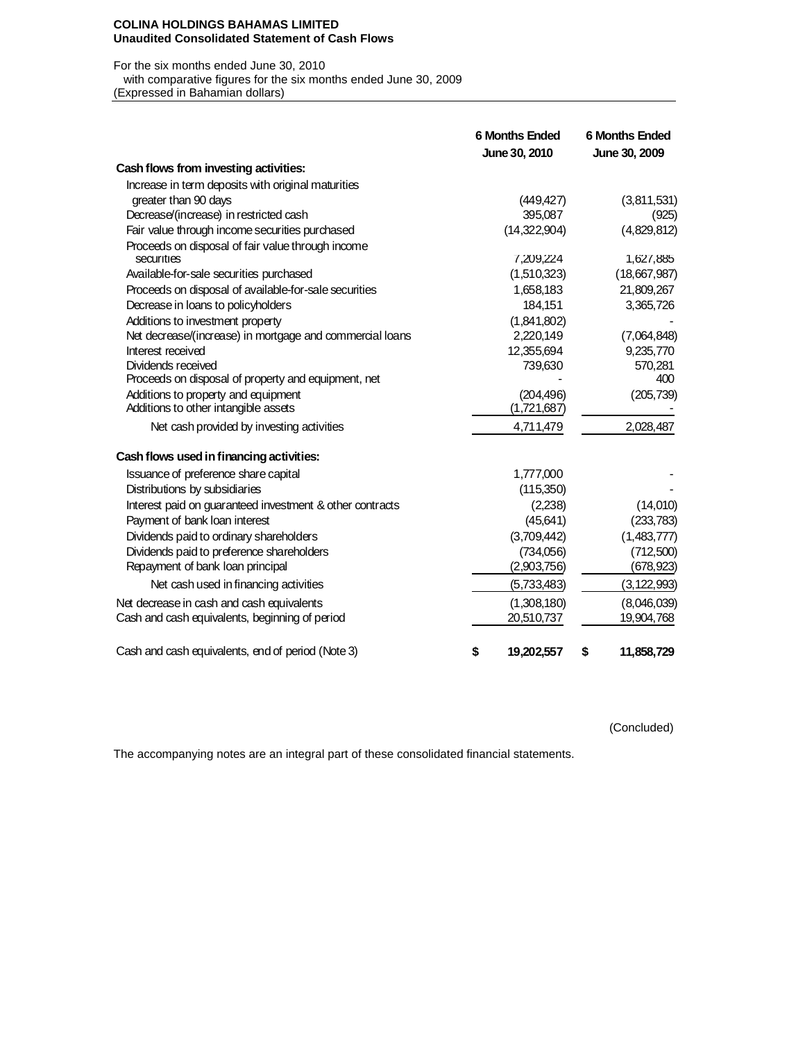### **COLINA HOLDINGS BAHAMAS LIMITED Unaudited Consolidated Statement of Cash Flows**

#### For the six months ended June 30, 2010

with comparative figures for the six months ended June 30, 2009<br>(Expressed in Bahamian dollars)

| (Expressed in Bahamian dollars) |  |
|---------------------------------|--|
|                                 |  |

|                                                                 | <b>6 Months Ended</b><br>June 30, 2010 | <b>6 Months Ended</b><br>June 30, 2009 |
|-----------------------------------------------------------------|----------------------------------------|----------------------------------------|
| Cash flows from investing activities:                           |                                        |                                        |
| Increase in term deposits with original maturities              |                                        |                                        |
| greater than 90 days                                            | (449, 427)                             | (3,811,531)                            |
| Decrease/(increase) in restricted cash                          | 395,087                                | (925)                                  |
| Fair value through income securities purchased                  | (14,322,904)                           | (4,829,812)                            |
| Proceeds on disposal of fair value through income<br>securities | 7,209,224                              | 1,627,885                              |
| Available-for-sale securities purchased                         | (1,510,323)                            | (18,667,987)                           |
| Proceeds on disposal of available-for-sale securities           | 1,658,183                              | 21,809,267                             |
| Decrease in loans to policyholders                              | 184,151                                | 3,365,726                              |
| Additions to investment property                                | (1,841,802)                            |                                        |
| Net decrease/(increase) in mortgage and commercial loans        | 2,220,149                              | (7,064,848)                            |
| Interest received                                               | 12,355,694                             | 9,235,770                              |
| Dividends received                                              | 739,630                                | 570,281                                |
| Proceeds on disposal of property and equipment, net             |                                        | 400                                    |
| Additions to property and equipment                             | (204, 496)                             | (205, 739)                             |
| Additions to other intangible assets                            | (1,721,687)                            |                                        |
| Net cash provided by investing activities                       | 4,711,479                              | 2,028,487                              |
| Cash flows used in financing activities:                        |                                        |                                        |
| Issuance of preference share capital                            | 1,777,000                              |                                        |
| Distributions by subsidiaries                                   | (115,350)                              |                                        |
| Interest paid on guaranteed investment & other contracts        | (2,238)                                | (14,010)                               |
| Payment of bank loan interest                                   | (45, 641)                              | (233, 783)                             |
| Dividends paid to ordinary shareholders                         | (3,709,442)                            | (1,483,777)                            |
| Dividends paid to preference shareholders                       | (734,056)                              | (712,500)                              |
| Repayment of bank loan principal                                | (2,903,756)                            | (678, 923)                             |
| Net cash used in financing activities                           | (5,733,483)                            | (3, 122, 993)                          |
| Net decrease in cash and cash equivalents                       | (1,308,180)                            | (8,046,039)                            |
| Cash and cash equivalents, beginning of period                  | 20,510,737                             | 19,904,768                             |
| Cash and cash equivalents, end of period (Note 3)               | \$<br>19,202,557                       | \$<br>11,858,729                       |

(Concluded)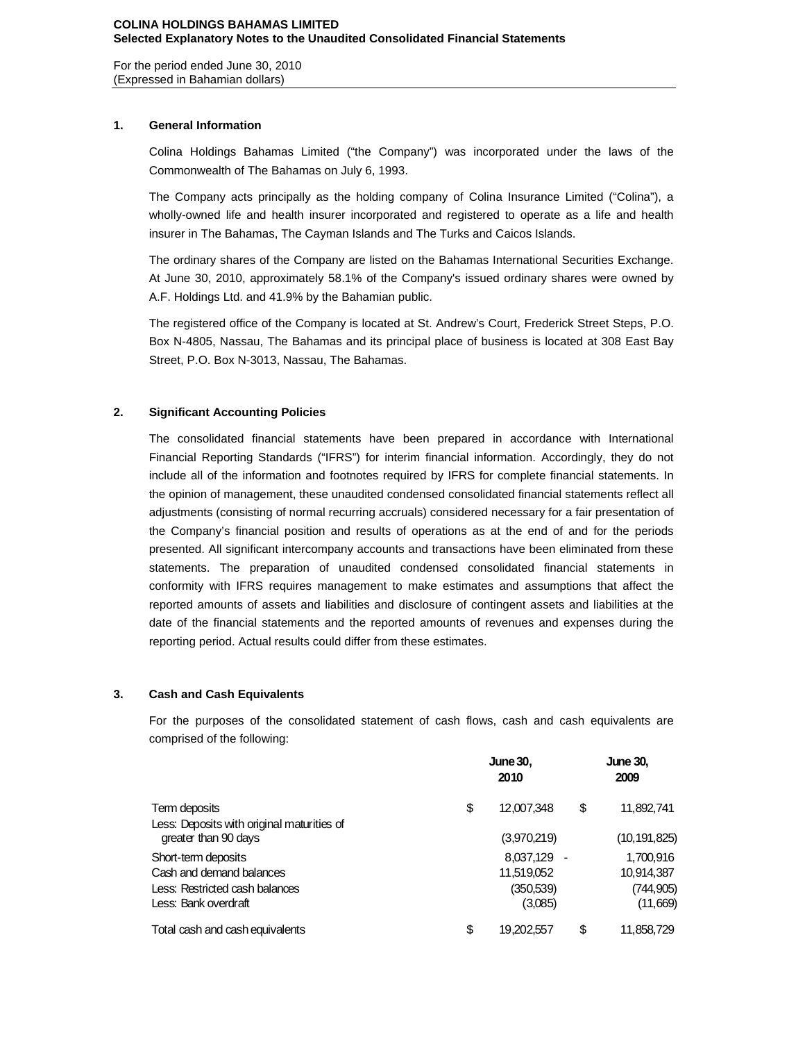For the period ended June 30, 2010 (Expressed in Bahamian dollars)

## **1. General Information**

Colina Holdings Bahamas Limited ("the Company") was incorporated under the laws of the Commonwealth of The Bahamas on July 6, 1993.

The Company acts principally as the holding company of Colina Insurance Limited ("Colina"), a wholly-owned life and health insurer incorporated and registered to operate as a life and health insurer in The Bahamas, The Cayman Islands and The Turks and Caicos Islands.

The ordinary shares of the Company are listed on the Bahamas International Securities Exchange. At June 30, 2010, approximately 58.1% of the Company's issued ordinary shares were owned by A.F. Holdings Ltd. and 41.9% by the Bahamian public.

The registered office of the Company is located at St. Andrew's Court, Frederick Street Steps, P.O. Box N-4805, Nassau, The Bahamas and its principal place of business is located at 308 East Bay Street, P.O. Box N-3013, Nassau, The Bahamas.

# **2. Significant Accounting Policies**

The consolidated financial statements have been prepared in accordance with International Financial Reporting Standards ("IFRS") for interim financial information. Accordingly, they do not include all of the information and footnotes required by IFRS for complete financial statements. In the opinion of management, these unaudited condensed consolidated financial statements reflect all adjustments (consisting of normal recurring accruals) considered necessary for a fair presentation of the Company's financial position and results of operations as at the end of and for the periods presented. All significant intercompany accounts and transactions have been eliminated from these statements. The preparation of unaudited condensed consolidated financial statements in conformity with IFRS requires management to make estimates and assumptions that affect the reported amounts of assets and liabilities and disclosure of contingent assets and liabilities at the date of the financial statements and the reported amounts of revenues and expenses during the reporting period. Actual results could differ from these estimates.

## **3. Cash and Cash Equivalents**

For the purposes of the consolidated statement of cash flows, cash and cash equivalents are comprised of the following:

|                                            | <b>June 30,</b><br>2010 |    | <b>June 30,</b><br>2009 |
|--------------------------------------------|-------------------------|----|-------------------------|
| Term deposits                              | \$<br>12,007,348        | \$ | 11,892,741              |
| Less: Deposits with original maturities of |                         |    |                         |
| greater than 90 days                       | (3,970,219)             |    | (10, 191, 825)          |
| Short-term deposits                        | 8,037,129 -             |    | 1,700,916               |
| Cash and demand balances                   | 11,519,052              |    | 10,914,387              |
| Less: Restricted cash balances             | (350,539)               |    | (744, 905)              |
| Less: Bank overdraft                       | (3,085)                 |    | (11,669)                |
| Total cash and cash equivalents            | \$<br>19,202,557        | S  | 11,858,729              |